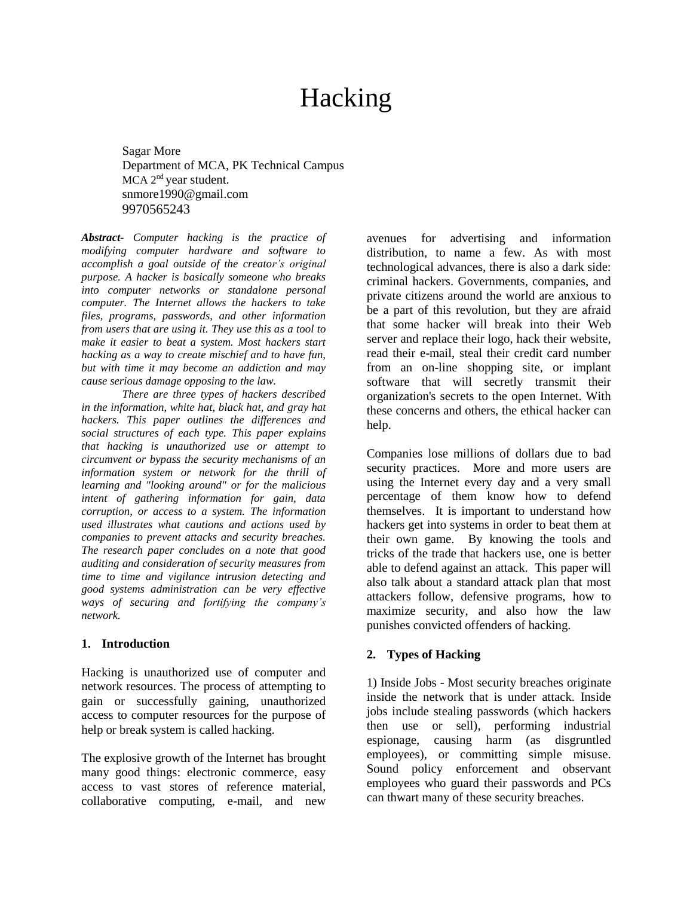# Hacking

Sagar More Department of MCA, PK Technical Campus MCA 2<sup>nd</sup> year student. snmore1990@gmail.com 9970565243

*Abstract- Computer hacking is the practice of modifying computer hardware and software to accomplish a goal outside of the creator's original purpose. A hacker is basically someone who breaks into computer networks or standalone personal computer. The Internet allows the hackers to take files, programs, passwords, and other information from users that are using it. They use this as a tool to make it easier to beat a system. Most hackers start hacking as a way to create mischief and to have fun, but with time it may become an addiction and may cause serious damage opposing to the law.*

*There are three types of hackers described in the information, white hat, black hat, and gray hat hackers. This paper outlines the differences and social structures of each type. This paper explains that hacking is unauthorized use or attempt to circumvent or bypass the security mechanisms of an information system or network for the thrill of learning and "looking around" or for the malicious intent of gathering information for gain, data corruption, or access to a system. The information used illustrates what cautions and actions used by companies to prevent attacks and security breaches. The research paper concludes on a note that good auditing and consideration of security measures from time to time and vigilance intrusion detecting and good systems administration can be very effective ways of securing and fortifying the company's network.*

#### **1. Introduction**

Hacking is unauthorized use of computer and network resources. The process of attempting to gain or successfully gaining, unauthorized access to computer resources for the purpose of help or break system is called hacking.

The explosive growth of the Internet has brought many good things: electronic commerce, easy access to vast stores of reference material, collaborative computing, e-mail, and new avenues for advertising and information distribution, to name a few. As with most technological advances, there is also a dark side: criminal hackers. Governments, companies, and private citizens around the world are anxious to be a part of this revolution, but they are afraid that some hacker will break into their Web server and replace their logo, hack their website, read their e-mail, steal their credit card number from an on-line shopping site, or implant software that will secretly transmit their organization's secrets to the open Internet. With these concerns and others, the ethical hacker can help.

Companies lose millions of dollars due to bad security practices. More and more users are using the Internet every day and a very small percentage of them know how to defend themselves. It is important to understand how hackers get into systems in order to beat them at their own game. By knowing the tools and tricks of the trade that hackers use, one is better able to defend against an attack. This paper will also talk about a standard attack plan that most attackers follow, defensive programs, how to maximize security, and also how the law punishes convicted offenders of hacking.

# **2. Types of Hacking**

1) Inside Jobs - Most security breaches originate inside the network that is under attack. Inside jobs include stealing passwords (which hackers then use or sell), performing industrial espionage, causing harm (as disgruntled employees), or committing simple misuse. Sound policy enforcement and observant employees who guard their passwords and PCs can thwart many of these security breaches.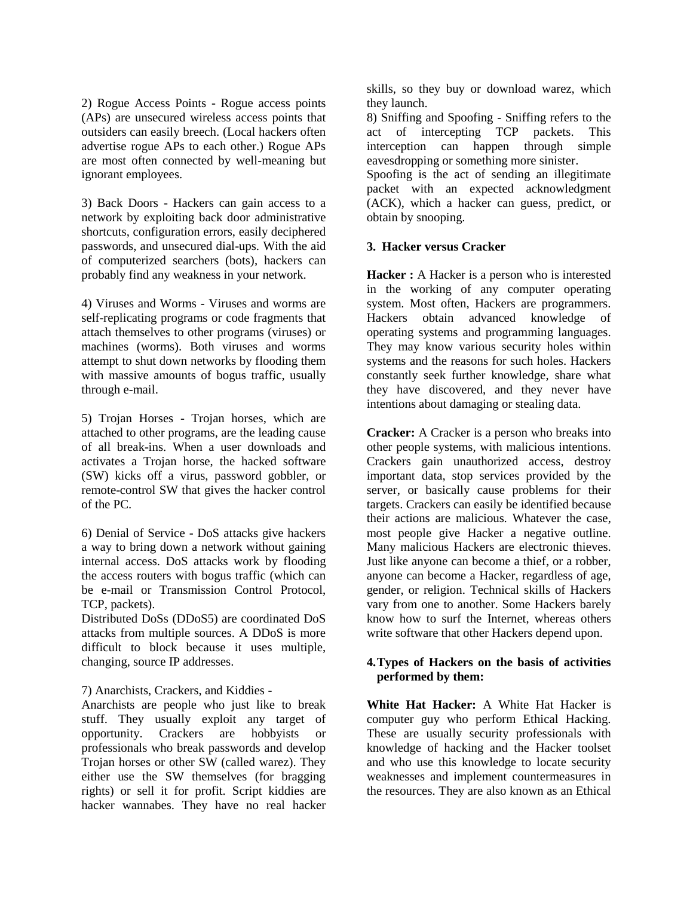2) Rogue Access Points - Rogue access points (APs) are unsecured wireless access points that outsiders can easily breech. (Local hackers often advertise rogue APs to each other.) Rogue APs are most often connected by well-meaning but ignorant employees.

3) Back Doors - Hackers can gain access to a network by exploiting back door administrative shortcuts, configuration errors, easily deciphered passwords, and unsecured dial-ups. With the aid of computerized searchers (bots), hackers can probably find any weakness in your network.

4) Viruses and Worms - Viruses and worms are self-replicating programs or code fragments that attach themselves to other programs (viruses) or machines (worms). Both viruses and worms attempt to shut down networks by flooding them with massive amounts of bogus traffic, usually through e-mail.

5) Trojan Horses - Trojan horses, which are attached to other programs, are the leading cause of all break-ins. When a user downloads and activates a Trojan horse, the hacked software (SW) kicks off a virus, password gobbler, or remote-control SW that gives the hacker control of the PC.

6) Denial of Service - DoS attacks give hackers a way to bring down a network without gaining internal access. DoS attacks work by flooding the access routers with bogus traffic (which can be e-mail or Transmission Control Protocol, TCP, packets).

Distributed DoSs (DDoS5) are coordinated DoS attacks from multiple sources. A DDoS is more difficult to block because it uses multiple, changing, source IP addresses.

#### 7) Anarchists, Crackers, and Kiddies -

Anarchists are people who just like to break stuff. They usually exploit any target of opportunity. Crackers are hobbyists or professionals who break passwords and develop Trojan horses or other SW (called warez). They either use the SW themselves (for bragging rights) or sell it for profit. Script kiddies are hacker wannabes. They have no real hacker

skills, so they buy or download warez, which they launch.

8) Sniffing and Spoofing - Sniffing refers to the act of intercepting TCP packets. This interception can happen through simple eavesdropping or something more sinister.

Spoofing is the act of sending an illegitimate packet with an expected acknowledgment (ACK), which a hacker can guess, predict, or obtain by snooping.

## **3. Hacker versus Cracker**

**Hacker :** A Hacker is a person who is interested in the working of any computer operating system. Most often, Hackers are programmers. Hackers obtain advanced knowledge of operating systems and programming languages. They may know various security holes within systems and the reasons for such holes. Hackers constantly seek further knowledge, share what they have discovered, and they never have intentions about damaging or stealing data.

**Cracker:** A Cracker is a person who breaks into other people systems, with malicious intentions. Crackers gain unauthorized access, destroy important data, stop services provided by the server, or basically cause problems for their targets. Crackers can easily be identified because their actions are malicious. Whatever the case, most people give Hacker a negative outline. Many malicious Hackers are electronic thieves. Just like anyone can become a thief, or a robber, anyone can become a Hacker, regardless of age, gender, or religion. Technical skills of Hackers vary from one to another. Some Hackers barely know how to surf the Internet, whereas others write software that other Hackers depend upon.

## **4.Types of Hackers on the basis of activities performed by them:**

**White Hat Hacker:** A White Hat Hacker is computer guy who perform Ethical Hacking. These are usually security professionals with knowledge of hacking and the Hacker toolset and who use this knowledge to locate security weaknesses and implement countermeasures in the resources. They are also known as an Ethical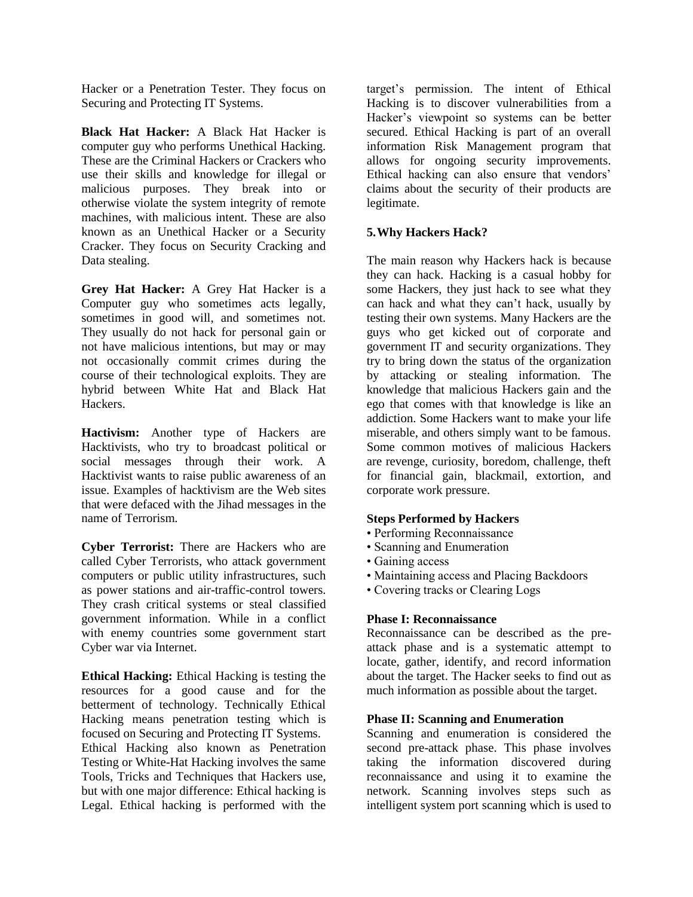Hacker or a Penetration Tester. They focus on Securing and Protecting IT Systems.

**Black Hat Hacker:** A Black Hat Hacker is computer guy who performs Unethical Hacking. These are the Criminal Hackers or Crackers who use their skills and knowledge for illegal or malicious purposes. They break into or otherwise violate the system integrity of remote machines, with malicious intent. These are also known as an Unethical Hacker or a Security Cracker. They focus on Security Cracking and Data stealing.

**Grey Hat Hacker:** A Grey Hat Hacker is a Computer guy who sometimes acts legally, sometimes in good will, and sometimes not. They usually do not hack for personal gain or not have malicious intentions, but may or may not occasionally commit crimes during the course of their technological exploits. They are hybrid between White Hat and Black Hat **Hackers** 

**Hactivism:** Another type of Hackers are Hacktivists, who try to broadcast political or social messages through their work. A Hacktivist wants to raise public awareness of an issue. Examples of hacktivism are the Web sites that were defaced with the Jihad messages in the name of Terrorism.

**Cyber Terrorist:** There are Hackers who are called Cyber Terrorists, who attack government computers or public utility infrastructures, such as power stations and air-traffic-control towers. They crash critical systems or steal classified government information. While in a conflict with enemy countries some government start Cyber war via Internet.

**Ethical Hacking:** Ethical Hacking is testing the resources for a good cause and for the betterment of technology. Technically Ethical Hacking means penetration testing which is focused on Securing and Protecting IT Systems. Ethical Hacking also known as Penetration Testing or White-Hat Hacking involves the same Tools, Tricks and Techniques that Hackers use, but with one major difference: Ethical hacking is Legal. Ethical hacking is performed with the

target's permission. The intent of Ethical Hacking is to discover vulnerabilities from a Hacker's viewpoint so systems can be better secured. Ethical Hacking is part of an overall information Risk Management program that allows for ongoing security improvements. Ethical hacking can also ensure that vendors' claims about the security of their products are legitimate.

## **5.Why Hackers Hack?**

The main reason why Hackers hack is because they can hack. Hacking is a casual hobby for some Hackers, they just hack to see what they can hack and what they can't hack, usually by testing their own systems. Many Hackers are the guys who get kicked out of corporate and government IT and security organizations. They try to bring down the status of the organization by attacking or stealing information. The knowledge that malicious Hackers gain and the ego that comes with that knowledge is like an addiction. Some Hackers want to make your life miserable, and others simply want to be famous. Some common motives of malicious Hackers are revenge, curiosity, boredom, challenge, theft for financial gain, blackmail, extortion, and corporate work pressure.

## **Steps Performed by Hackers**

- Performing Reconnaissance
- Scanning and Enumeration
- Gaining access
- Maintaining access and Placing Backdoors
- Covering tracks or Clearing Logs

## **Phase I: Reconnaissance**

Reconnaissance can be described as the preattack phase and is a systematic attempt to locate, gather, identify, and record information about the target. The Hacker seeks to find out as much information as possible about the target.

#### **Phase II: Scanning and Enumeration**

Scanning and enumeration is considered the second pre-attack phase. This phase involves taking the information discovered during reconnaissance and using it to examine the network. Scanning involves steps such as intelligent system port scanning which is used to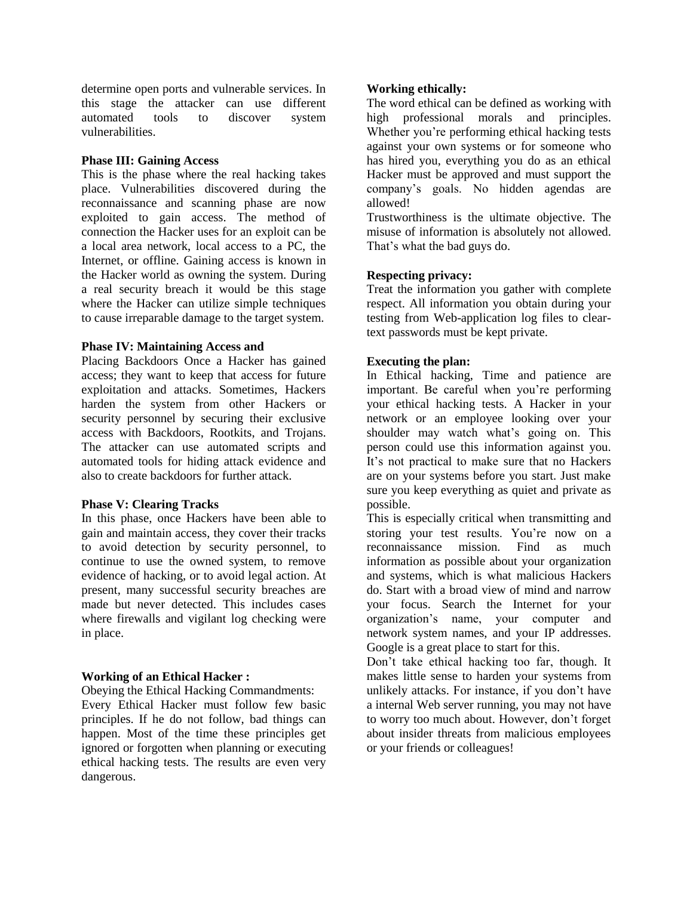determine open ports and vulnerable services. In this stage the attacker can use different automated tools to discover system vulnerabilities.

## **Phase III: Gaining Access**

This is the phase where the real hacking takes place. Vulnerabilities discovered during the reconnaissance and scanning phase are now exploited to gain access. The method of connection the Hacker uses for an exploit can be a local area network, local access to a PC, the Internet, or offline. Gaining access is known in the Hacker world as owning the system. During a real security breach it would be this stage where the Hacker can utilize simple techniques to cause irreparable damage to the target system.

## **Phase IV: Maintaining Access and**

Placing Backdoors Once a Hacker has gained access; they want to keep that access for future exploitation and attacks. Sometimes, Hackers harden the system from other Hackers or security personnel by securing their exclusive access with Backdoors, Rootkits, and Trojans. The attacker can use automated scripts and automated tools for hiding attack evidence and also to create backdoors for further attack.

## **Phase V: Clearing Tracks**

In this phase, once Hackers have been able to gain and maintain access, they cover their tracks to avoid detection by security personnel, to continue to use the owned system, to remove evidence of hacking, or to avoid legal action. At present, many successful security breaches are made but never detected. This includes cases where firewalls and vigilant log checking were in place.

## **Working of an Ethical Hacker :**

Obeying the Ethical Hacking Commandments: Every Ethical Hacker must follow few basic principles. If he do not follow, bad things can happen. Most of the time these principles get ignored or forgotten when planning or executing ethical hacking tests. The results are even very dangerous.

# **Working ethically:**

The word ethical can be defined as working with high professional morals and principles. Whether you're performing ethical hacking tests against your own systems or for someone who has hired you, everything you do as an ethical Hacker must be approved and must support the company's goals. No hidden agendas are allowed!

Trustworthiness is the ultimate objective. The misuse of information is absolutely not allowed. That's what the bad guys do.

## **Respecting privacy:**

Treat the information you gather with complete respect. All information you obtain during your testing from Web-application log files to cleartext passwords must be kept private.

## **Executing the plan:**

In Ethical hacking, Time and patience are important. Be careful when you're performing your ethical hacking tests. A Hacker in your network or an employee looking over your shoulder may watch what's going on. This person could use this information against you. It's not practical to make sure that no Hackers are on your systems before you start. Just make sure you keep everything as quiet and private as possible.

This is especially critical when transmitting and storing your test results. You're now on a reconnaissance mission. Find as much information as possible about your organization and systems, which is what malicious Hackers do. Start with a broad view of mind and narrow your focus. Search the Internet for your organization's name, your computer and network system names, and your IP addresses. Google is a great place to start for this.

Don't take ethical hacking too far, though. It makes little sense to harden your systems from unlikely attacks. For instance, if you don't have a internal Web server running, you may not have to worry too much about. However, don't forget about insider threats from malicious employees or your friends or colleagues!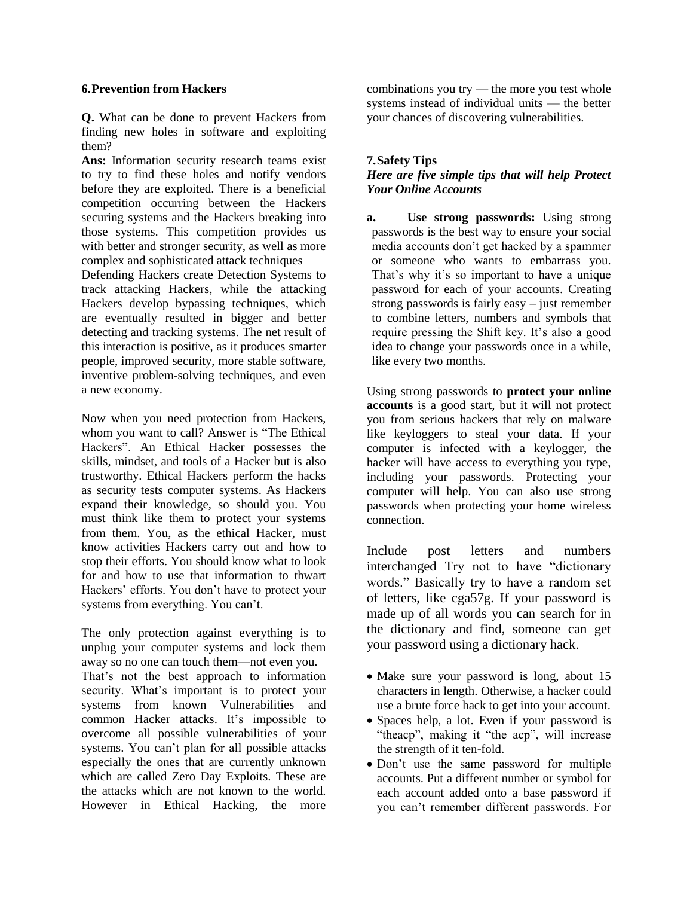#### **6.Prevention from Hackers**

**Q.** What can be done to prevent Hackers from finding new holes in software and exploiting them?

**Ans:** Information security research teams exist to try to find these holes and notify vendors before they are exploited. There is a beneficial competition occurring between the Hackers securing systems and the Hackers breaking into those systems. This competition provides us with better and stronger security, as well as more complex and sophisticated attack techniques

Defending Hackers create Detection Systems to track attacking Hackers, while the attacking Hackers develop bypassing techniques, which are eventually resulted in bigger and better detecting and tracking systems. The net result of this interaction is positive, as it produces smarter people, improved security, more stable software, inventive problem-solving techniques, and even a new economy.

Now when you need protection from Hackers, whom you want to call? Answer is "The Ethical Hackers". An Ethical Hacker possesses the skills, mindset, and tools of a Hacker but is also trustworthy. Ethical Hackers perform the hacks as security tests computer systems. As Hackers expand their knowledge, so should you. You must think like them to protect your systems from them. You, as the ethical Hacker, must know activities Hackers carry out and how to stop their efforts. You should know what to look for and how to use that information to thwart Hackers' efforts. You don't have to protect your systems from everything. You can't.

The only protection against everything is to unplug your computer systems and lock them away so no one can touch them—not even you. That's not the best approach to information security. What's important is to protect your systems from known Vulnerabilities and common Hacker attacks. It's impossible to overcome all possible vulnerabilities of your systems. You can't plan for all possible attacks especially the ones that are currently unknown which are called Zero Day Exploits. These are the attacks which are not known to the world. However in Ethical Hacking, the more

combinations you try — the more you test whole systems instead of individual units — the better your chances of discovering vulnerabilities.

# **7.Safety Tips**

## *Here are five simple tips that will help Protect Your Online Accounts*

**a. Use strong passwords:** Using strong passwords is the best way to ensure your social media accounts don't get hacked by a spammer or someone who wants to embarrass you. That's why it's so important to have a unique password for each of your accounts. Creating strong passwords is fairly easy – just remember to combine letters, numbers and symbols that require pressing the Shift key. It's also a good idea to change your passwords once in a while, like every two months.

Using strong passwords to **protect your online accounts** is a good start, but it will not protect you from serious hackers that rely on malware like keyloggers to steal your data. If your computer is infected with a keylogger, the hacker will have access to everything you type, including your passwords. Protecting your computer will help. You can also use strong passwords when protecting your home wireless connection.

Include post letters and numbers interchanged Try not to have "dictionary" words." Basically try to have a random set of letters, like cga57g. If your password is made up of all words you can search for in the dictionary and find, someone can get your password using a dictionary hack.

- Make sure your password is long, about 15 characters in length. Otherwise, a hacker could use a brute force hack to get into your account.
- Spaces help, a lot. Even if your password is "theacp", making it "the acp", will increase the strength of it ten-fold.
- Don't use the same password for multiple accounts. Put a different number or symbol for each account added onto a base password if you can't remember different passwords. For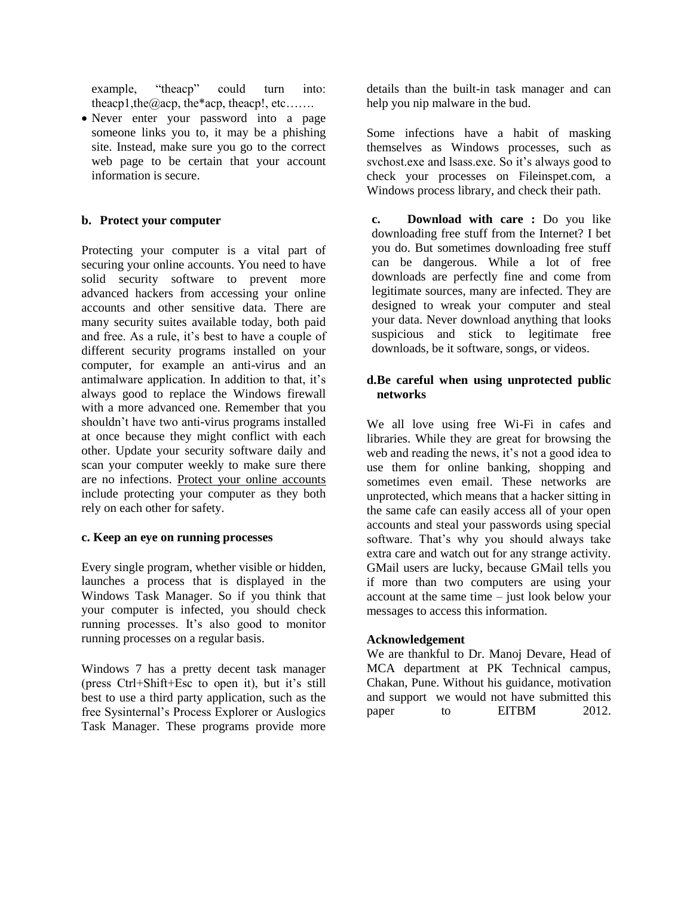example, "theacp" could turn into: theacp1,the@acp, the\*acp, theacp!, etc…….

 Never enter your password into a page someone links you to, it may be a phishing site. Instead, make sure you go to the correct web page to be certain that your account information is secure.

## **b. Protect your computer**

Protecting your computer is a vital part of securing your online accounts. You need to have solid security software to prevent more advanced hackers from accessing your online accounts and other sensitive data. There are many security suites available today, both paid and free. As a rule, it's best to have a couple of different security programs installed on your computer, for example an anti-virus and an antimalware application. In addition to that, it's always good to replace the Windows firewall with a more advanced one. Remember that you shouldn't have two anti-virus programs installed at once because they might conflict with each other. Update your security software daily and scan your computer weekly to make sure there are no infections. Protect your online accounts include protecting your computer as they both rely on each other for safety.

## **c. Keep an eye on running processes**

Every single program, whether visible or hidden, launches a process that is displayed in the Windows Task Manager. So if you think that your computer is infected, you should check running processes. It's also good to monitor running processes on a regular basis.

Windows 7 has a pretty decent task manager (press Ctrl+Shift+Esc to open it), but it's still best to use a third party application, such as the free Sysinternal's Process Explorer or Auslogics Task Manager. These programs provide more

details than the built-in task manager and can help you nip malware in the bud.

Some infections have a habit of masking themselves as Windows processes, such as svchost.exe and lsass.exe. So it's always good to check your processes on Fileinspet.com, a Windows process library, and check their path.

**c. Download with care :** Do you like downloading free stuff from the Internet? I bet you do. But sometimes downloading free stuff can be dangerous. While a lot of free downloads are perfectly fine and come from legitimate sources, many are infected. They are designed to wreak your computer and steal your data. Never download anything that looks suspicious and stick to legitimate free downloads, be it software, songs, or videos.

## **d.Be careful when using unprotected public networks**

We all love using free Wi-Fi in cafes and libraries. While they are great for browsing the web and reading the news, it's not a good idea to use them for online banking, shopping and sometimes even email. These networks are unprotected, which means that a hacker sitting in the same cafe can easily access all of your open accounts and steal your passwords using special software. That's why you should always take extra care and watch out for any strange activity. GMail users are lucky, because GMail tells you if more than two computers are using your account at the same time – just look below your messages to access this information.

## **Acknowledgement**

We are thankful to Dr. Manoj Devare, Head of MCA department at PK Technical campus, Chakan, Pune. Without his guidance, motivation and support we would not have submitted this paper to EITBM 2012.